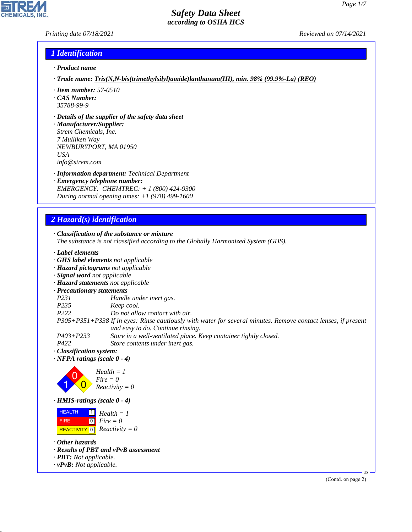#### *Printing date 07/18/2021 Reviewed on 07/14/2021*

#### *1 Identification*

- *· Product name*
- *· Trade name: Tris(N,N-bis(trimethylsilyl)amide)lanthanum(III), min. 98% (99.9%-La) (REO)*
- *· Item number: 57-0510*
- *· CAS Number: 35788-99-9*
- *· Details of the supplier of the safety data sheet*

*· Manufacturer/Supplier: Strem Chemicals, Inc. 7 Mulliken Way NEWBURYPORT, MA 01950 USA info@strem.com*

- *· Information department: Technical Department*
- *· Emergency telephone number: EMERGENCY: CHEMTREC: + 1 (800) 424-9300 During normal opening times: +1 (978) 499-1600*

### *2 Hazard(s) identification*

*· Classification of the substance or mixture*

- *The substance is not classified according to the Globally Harmonized System (GHS).*
- *· Label elements*
- *· GHS label elements not applicable*
- *· Hazard pictograms not applicable*
- *· Signal word not applicable*
- *· Hazard statements not applicable*
- *· Precautionary statements*
- *P231 Handle under inert gas.*
- *P235 Keep cool.*
- *P222 Do not allow contact with air.*

*P305+P351+P338 If in eyes: Rinse cautiously with water for several minutes. Remove contact lenses, if present and easy to do. Continue rinsing.*

- *P403+P233 Store in a well-ventilated place. Keep container tightly closed.*
- *P422 Store contents under inert gas.*
- *· Classification system:*
- *· NFPA ratings (scale 0 4)*



*· HMIS-ratings (scale 0 - 4)*

**HEALTH**  FIRE  $\boxed{\text{REACTIVITY} \boxed{0}}$  Reactivity = 0  $\vert$  1  $\boxed{0}$ *Health = 1 Fire = 0*

*· Other hazards*

44.1.1

- *· Results of PBT and vPvB assessment*
- *· PBT: Not applicable.*
- *· vPvB: Not applicable.*

(Contd. on page 2)

US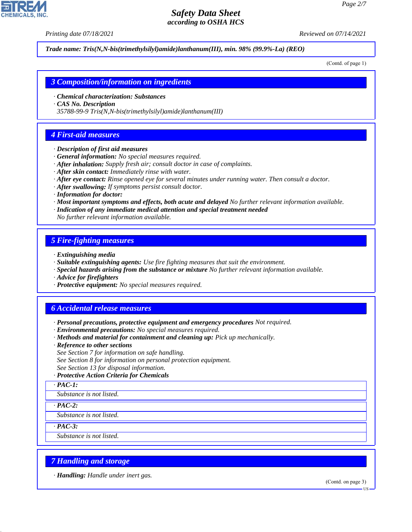*Printing date 07/18/2021 Reviewed on 07/14/2021*

*Trade name: Tris(N,N-bis(trimethylsilyl)amide)lanthanum(III), min. 98% (99.9%-La) (REO)*

(Contd. of page 1)

#### *3 Composition/information on ingredients*

- *· Chemical characterization: Substances*
- *· CAS No. Description*

*35788-99-9 Tris(N,N-bis(trimethylsilyl)amide)lanthanum(III)*

# *4 First-aid measures*

- *· Description of first aid measures*
- *· General information: No special measures required.*
- *· After inhalation: Supply fresh air; consult doctor in case of complaints.*
- *· After skin contact: Immediately rinse with water.*
- *· After eye contact: Rinse opened eye for several minutes under running water. Then consult a doctor.*
- *· After swallowing: If symptoms persist consult doctor.*
- *· Information for doctor:*
- *· Most important symptoms and effects, both acute and delayed No further relevant information available.*
- *· Indication of any immediate medical attention and special treatment needed*
- *No further relevant information available.*

# *5 Fire-fighting measures*

- *· Extinguishing media*
- *· Suitable extinguishing agents: Use fire fighting measures that suit the environment.*
- *· Special hazards arising from the substance or mixture No further relevant information available.*
- *· Advice for firefighters*
- *· Protective equipment: No special measures required.*

# *6 Accidental release measures*

- *· Personal precautions, protective equipment and emergency procedures Not required.*
- *· Environmental precautions: No special measures required.*
- *· Methods and material for containment and cleaning up: Pick up mechanically.*
- *· Reference to other sections*
- *See Section 7 for information on safe handling.*
- *See Section 8 for information on personal protection equipment.*
- *See Section 13 for disposal information.*
- *· Protective Action Criteria for Chemicals*
- *· PAC-1:*

*Substance is not listed.*

*· PAC-2:*

*Substance is not listed.*

*· PAC-3:*

44.1.1

*Substance is not listed.*

### *7 Handling and storage*

*· Handling: Handle under inert gas.*

(Contd. on page 3)

US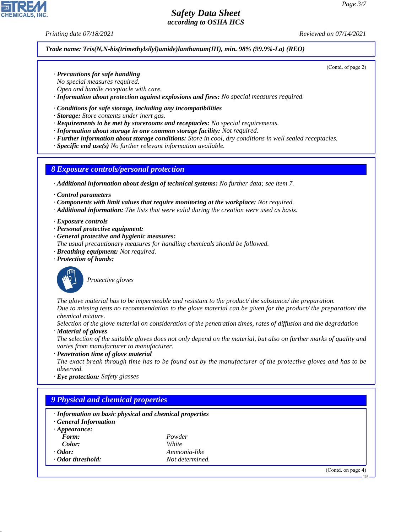(Contd. of page 2)

## *Safety Data Sheet according to OSHA HCS*

*Printing date 07/18/2021 Reviewed on 07/14/2021*

#### *Trade name: Tris(N,N-bis(trimethylsilyl)amide)lanthanum(III), min. 98% (99.9%-La) (REO)*

- *· Precautions for safe handling*
- *No special measures required.*
- *Open and handle receptacle with care.*
- *· Information about protection against explosions and fires: No special measures required.*

#### *· Conditions for safe storage, including any incompatibilities*

- *· Storage: Store contents under inert gas.*
- *· Requirements to be met by storerooms and receptacles: No special requirements.*
- *· Information about storage in one common storage facility: Not required.*
- *· Further information about storage conditions: Store in cool, dry conditions in well sealed receptacles.*
- *· Specific end use(s) No further relevant information available.*

#### *8 Exposure controls/personal protection*

- *· Additional information about design of technical systems: No further data; see item 7.*
- *· Control parameters*
- *· Components with limit values that require monitoring at the workplace: Not required.*
- *· Additional information: The lists that were valid during the creation were used as basis.*
- *· Exposure controls*
- *· Personal protective equipment:*
- *· General protective and hygienic measures:*
- *The usual precautionary measures for handling chemicals should be followed.*
- *· Breathing equipment: Not required.*
- *· Protection of hands:*



44.1.1

\_S*Protective gloves*

*The glove material has to be impermeable and resistant to the product/ the substance/ the preparation. Due to missing tests no recommendation to the glove material can be given for the product/ the preparation/ the chemical mixture.*

- *Selection of the glove material on consideration of the penetration times, rates of diffusion and the degradation · Material of gloves*
- *The selection of the suitable gloves does not only depend on the material, but also on further marks of quality and varies from manufacturer to manufacturer.*
- *· Penetration time of glove material*
- *The exact break through time has to be found out by the manufacturer of the protective gloves and has to be observed.*
- *· Eye protection: Safety glasses*

| · Information on basic physical and chemical properties<br>· General Information |                 |  |
|----------------------------------------------------------------------------------|-----------------|--|
| $\cdot$ Appearance:                                                              |                 |  |
| Form:                                                                            | Powder          |  |
| Color:                                                                           | White           |  |
| $\cdot$ Odor:                                                                    | Ammonia-like    |  |
| Odor threshold:                                                                  | Not determined. |  |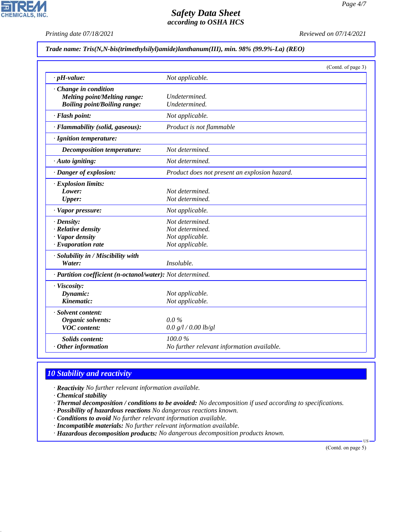**CHEMICALS, INC.** 

*Printing date 07/18/2021 Reviewed on 07/14/2021*

#### *Trade name: Tris(N,N-bis(trimethylsilyl)amide)lanthanum(III), min. 98% (99.9%-La) (REO)*

|                                                                                            |                                                                          | (Contd. of page 3) |
|--------------------------------------------------------------------------------------------|--------------------------------------------------------------------------|--------------------|
| $\cdot$ pH-value:                                                                          | Not applicable.                                                          |                    |
| Change in condition<br>Melting point/Melting range:<br><b>Boiling point/Boiling range:</b> | Undetermined.<br>Undetermined.                                           |                    |
| · Flash point:                                                                             | Not applicable.                                                          |                    |
| · Flammability (solid, gaseous):                                                           | Product is not flammable                                                 |                    |
| · Ignition temperature:                                                                    |                                                                          |                    |
| Decomposition temperature:                                                                 | Not determined.                                                          |                    |
| $\cdot$ Auto igniting:                                                                     | Not determined.                                                          |                    |
| · Danger of explosion:                                                                     | Product does not present an explosion hazard.                            |                    |
| · Explosion limits:<br>Lower:<br><b>Upper:</b>                                             | Not determined.<br>Not determined.                                       |                    |
| · Vapor pressure:                                                                          | Not applicable.                                                          |                    |
| $\cdot$ Density:<br>· Relative density<br>· Vapor density<br>$\cdot$ Evaporation rate      | Not determined.<br>Not determined.<br>Not applicable.<br>Not applicable. |                    |
| · Solubility in / Miscibility with<br>Water:                                               | Insoluble.                                                               |                    |
| · Partition coefficient (n-octanol/water): Not determined.                                 |                                                                          |                    |
| · Viscosity:<br>Dynamic:<br>Kinematic:                                                     | Not applicable.<br>Not applicable.                                       |                    |
| · Solvent content:<br>Organic solvents:<br><b>VOC</b> content:                             | $0.0\%$<br>0.0 g/l / 0.00 lb/gl                                          |                    |
| <b>Solids content:</b><br>$·$ Other information                                            | 100.0%<br>No further relevant information available.                     |                    |

# *10 Stability and reactivity*

*· Reactivity No further relevant information available.*

*· Chemical stability*

44.1.1

- *· Thermal decomposition / conditions to be avoided: No decomposition if used according to specifications.*
- *· Possibility of hazardous reactions No dangerous reactions known.*
- *· Conditions to avoid No further relevant information available.*
- *· Incompatible materials: No further relevant information available.*
- *· Hazardous decomposition products: No dangerous decomposition products known.*

(Contd. on page 5)

US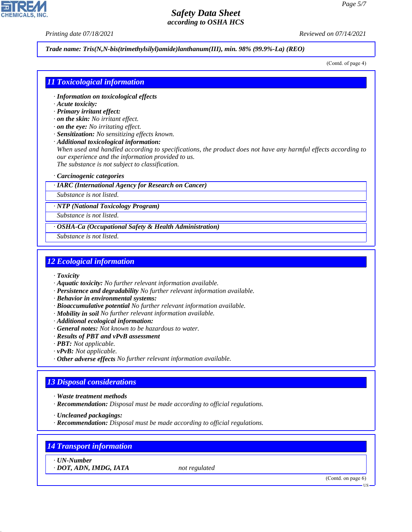*Printing date 07/18/2021 Reviewed on 07/14/2021*

*Trade name: Tris(N,N-bis(trimethylsilyl)amide)lanthanum(III), min. 98% (99.9%-La) (REO)*

(Contd. of page 4)

#### *11 Toxicological information*

- *· Information on toxicological effects*
- *· Acute toxicity:*
- *· Primary irritant effect:*
- *· on the skin: No irritant effect.*
- *· on the eye: No irritating effect.*
- *· Sensitization: No sensitizing effects known.*
- *· Additional toxicological information:*

*When used and handled according to specifications, the product does not have any harmful effects according to our experience and the information provided to us. The substance is not subject to classification.*

*· Carcinogenic categories*

*· IARC (International Agency for Research on Cancer)*

*Substance is not listed.*

*· NTP (National Toxicology Program)*

*Substance is not listed.*

*· OSHA-Ca (Occupational Safety & Health Administration)*

*Substance is not listed.*

#### *12 Ecological information*

- *· Toxicity*
- *· Aquatic toxicity: No further relevant information available.*
- *· Persistence and degradability No further relevant information available.*
- *· Behavior in environmental systems:*
- *· Bioaccumulative potential No further relevant information available.*
- *· Mobility in soil No further relevant information available.*
- *· Additional ecological information:*
- *· General notes: Not known to be hazardous to water.*
- *· Results of PBT and vPvB assessment*
- *· PBT: Not applicable.*
- *· vPvB: Not applicable.*
- *· Other adverse effects No further relevant information available.*

#### *13 Disposal considerations*

- *· Waste treatment methods*
- *· Recommendation: Disposal must be made according to official regulations.*
- *· Uncleaned packagings:*
- *· Recommendation: Disposal must be made according to official regulations.*

## *14 Transport information*

*· UN-Number*

44.1.1

*· DOT, ADN, IMDG, IATA not regulated*

(Contd. on page 6)

US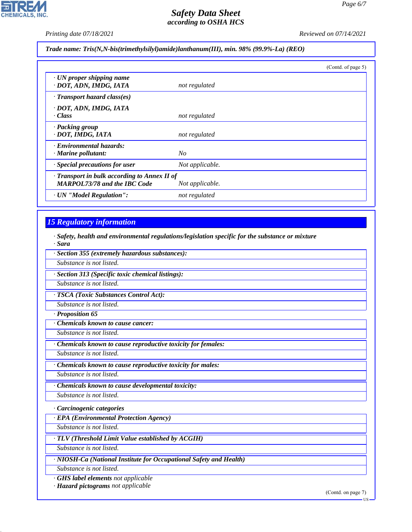P

**CHEMICALS, INC.** 

*Printing date 07/18/2021 Reviewed on 07/14/2021*

*Trade name: Tris(N,N-bis(trimethylsilyl)amide)lanthanum(III), min. 98% (99.9%-La) (REO)*

|                                                                                     |                 | (Contd. of page 5) |
|-------------------------------------------------------------------------------------|-----------------|--------------------|
| $\cdot$ UN proper shipping name<br>· DOT, ADN, IMDG, IATA                           | not regulated   |                    |
| $\cdot$ Transport hazard class(es)                                                  |                 |                    |
| · DOT, ADN, IMDG, IATA<br>· Class                                                   | not regulated   |                    |
| · Packing group<br>· DOT, IMDG, IATA                                                | not regulated   |                    |
| · Environmental hazards:<br>$\cdot$ Marine pollutant:                               | No              |                    |
| · Special precautions for user                                                      | Not applicable. |                    |
| · Transport in bulk according to Annex II of<br><b>MARPOL73/78 and the IBC Code</b> | Not applicable. |                    |
| · UN "Model Regulation":                                                            | not regulated   |                    |

# *15 Regulatory information*

*· Safety, health and environmental regulations/legislation specific for the substance or mixture · Sara*

| · Section 355 (extremely hazardous substances):             |
|-------------------------------------------------------------|
| Substance is not listed.                                    |
| · Section 313 (Specific toxic chemical listings):           |
| Substance is not listed.                                    |
| · TSCA (Toxic Substances Control Act):                      |
| Substance is not listed.                                    |
| · Proposition 65                                            |
| Chemicals known to cause cancer:                            |
| Substance is not listed.                                    |
| Chemicals known to cause reproductive toxicity for females: |
| Substance is not listed.                                    |
| Chemicals known to cause reproductive toxicity for males:   |
| Substance is not listed.                                    |
| Chemicals known to cause developmental toxicity:            |
| Substance is not listed.                                    |
| Carcinogenic categories                                     |
| · EPA (Environmental Protection Agency)                     |
| Substance is not listed.                                    |
| $\cdot$ TLV (Threshold Limit Value established by ACGIH)    |
| Substance is not listed.                                    |

*· NIOSH-Ca (National Institute for Occupational Safety and Health)*

*Substance is not listed.*

44.1.1

*· GHS label elements not applicable*

*· Hazard pictograms not applicable*

(Contd. on page 7)

 $-11S$